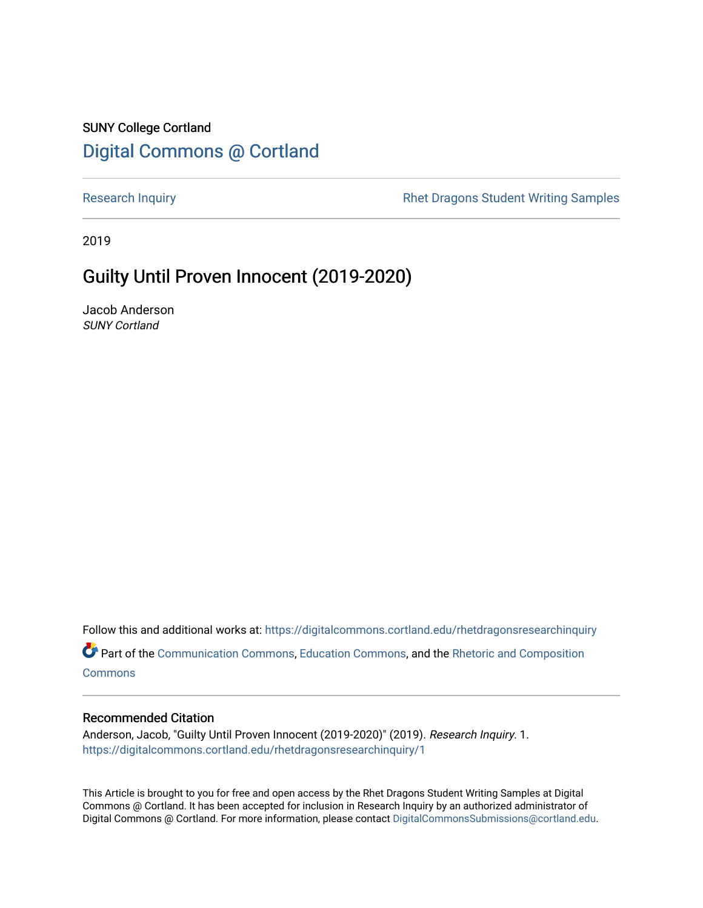### SUNY College Cortland [Digital Commons @ Cortland](https://digitalcommons.cortland.edu/)

[Research Inquiry](https://digitalcommons.cortland.edu/rhetdragonsresearchinquiry) **Research Inquiry** Research Inquiry **Rhet Dragons Student Writing Samples** 

2019

## Guilty Until Proven Innocent (2019-2020)

Jacob Anderson SUNY Cortland

Follow this and additional works at: [https://digitalcommons.cortland.edu/rhetdragonsresearchinquiry](https://digitalcommons.cortland.edu/rhetdragonsresearchinquiry?utm_source=digitalcommons.cortland.edu%2Frhetdragonsresearchinquiry%2F1&utm_medium=PDF&utm_campaign=PDFCoverPages) Part of the [Communication Commons,](http://network.bepress.com/hgg/discipline/325?utm_source=digitalcommons.cortland.edu%2Frhetdragonsresearchinquiry%2F1&utm_medium=PDF&utm_campaign=PDFCoverPages) [Education Commons,](http://network.bepress.com/hgg/discipline/784?utm_source=digitalcommons.cortland.edu%2Frhetdragonsresearchinquiry%2F1&utm_medium=PDF&utm_campaign=PDFCoverPages) and the [Rhetoric and Composition](http://network.bepress.com/hgg/discipline/573?utm_source=digitalcommons.cortland.edu%2Frhetdragonsresearchinquiry%2F1&utm_medium=PDF&utm_campaign=PDFCoverPages) **[Commons](http://network.bepress.com/hgg/discipline/573?utm_source=digitalcommons.cortland.edu%2Frhetdragonsresearchinquiry%2F1&utm_medium=PDF&utm_campaign=PDFCoverPages)** 

### Recommended Citation

Anderson, Jacob, "Guilty Until Proven Innocent (2019-2020)" (2019). Research Inquiry. 1. [https://digitalcommons.cortland.edu/rhetdragonsresearchinquiry/1](https://digitalcommons.cortland.edu/rhetdragonsresearchinquiry/1?utm_source=digitalcommons.cortland.edu%2Frhetdragonsresearchinquiry%2F1&utm_medium=PDF&utm_campaign=PDFCoverPages) 

This Article is brought to you for free and open access by the Rhet Dragons Student Writing Samples at Digital Commons @ Cortland. It has been accepted for inclusion in Research Inquiry by an authorized administrator of Digital Commons @ Cortland. For more information, please contact [DigitalCommonsSubmissions@cortland.edu](mailto:DigitalCommonsSubmissions@cortland.edu).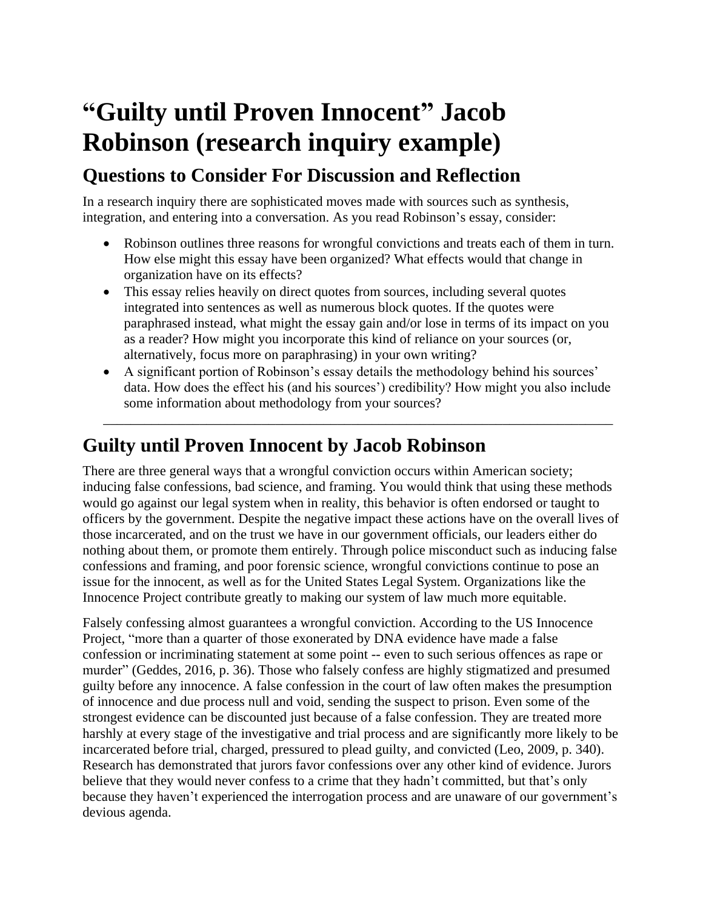# **"Guilty until Proven Innocent" Jacob Robinson (research inquiry example)**

# **Questions to Consider For Discussion and Reflection**

In a research inquiry there are sophisticated moves made with sources such as synthesis, integration, and entering into a conversation. As you read Robinson's essay, consider:

- Robinson outlines three reasons for wrongful convictions and treats each of them in turn. How else might this essay have been organized? What effects would that change in organization have on its effects?
- This essay relies heavily on direct quotes from sources, including several quotes integrated into sentences as well as numerous block quotes. If the quotes were paraphrased instead, what might the essay gain and/or lose in terms of its impact on you as a reader? How might you incorporate this kind of reliance on your sources (or, alternatively, focus more on paraphrasing) in your own writing?
- A significant portion of Robinson's essay details the methodology behind his sources' data. How does the effect his (and his sources') credibility? How might you also include some information about methodology from your sources?

\_\_\_\_\_\_\_\_\_\_\_\_\_\_\_\_\_\_\_\_\_\_\_\_\_\_\_\_\_\_\_\_\_\_\_\_\_\_\_\_\_\_\_\_\_\_\_\_\_\_\_\_\_\_\_\_\_\_\_\_\_\_\_\_\_\_\_\_\_\_\_\_\_\_

## **Guilty until Proven Innocent by Jacob Robinson**

There are three general ways that a wrongful conviction occurs within American society; inducing false confessions, bad science, and framing. You would think that using these methods would go against our legal system when in reality, this behavior is often endorsed or taught to officers by the government. Despite the negative impact these actions have on the overall lives of those incarcerated, and on the trust we have in our government officials, our leaders either do nothing about them, or promote them entirely. Through police misconduct such as inducing false confessions and framing, and poor forensic science, wrongful convictions continue to pose an issue for the innocent, as well as for the United States Legal System. Organizations like the Innocence Project contribute greatly to making our system of law much more equitable.

Falsely confessing almost guarantees a wrongful conviction. According to the US Innocence Project, "more than a quarter of those exonerated by DNA evidence have made a false confession or incriminating statement at some point -- even to such serious offences as rape or murder" (Geddes, 2016, p. 36). Those who falsely confess are highly stigmatized and presumed guilty before any innocence. A false confession in the court of law often makes the presumption of innocence and due process null and void, sending the suspect to prison. Even some of the strongest evidence can be discounted just because of a false confession. They are treated more harshly at every stage of the investigative and trial process and are significantly more likely to be incarcerated before trial, charged, pressured to plead guilty, and convicted (Leo, 2009, p. 340). Research has demonstrated that jurors favor confessions over any other kind of evidence. Jurors believe that they would never confess to a crime that they hadn't committed, but that's only because they haven't experienced the interrogation process and are unaware of our government's devious agenda.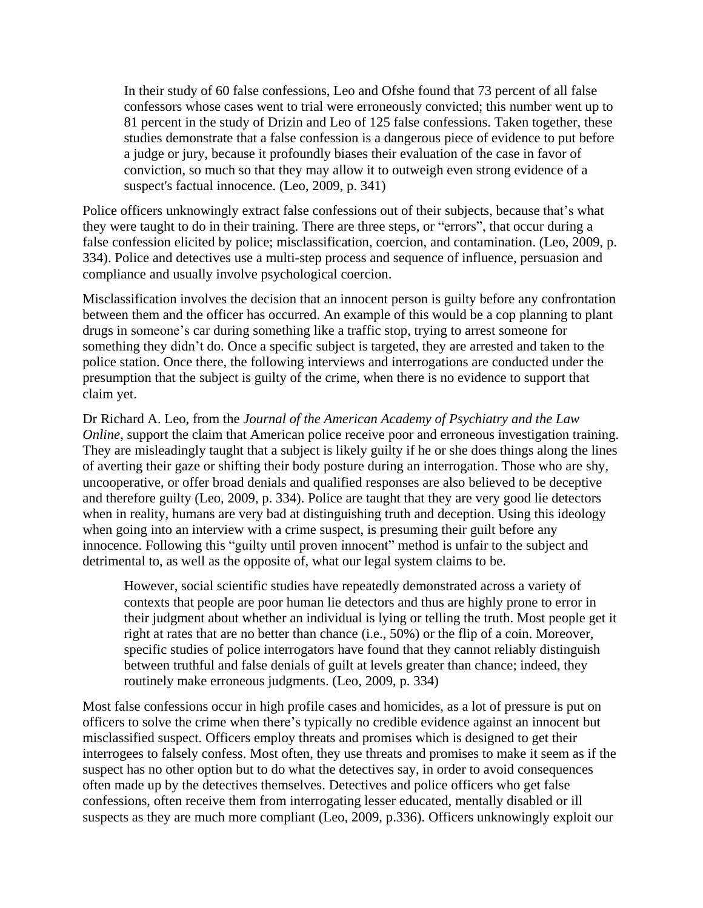In their study of 60 false confessions, Leo and Ofshe found that 73 percent of all false confessors whose cases went to trial were erroneously convicted; this number went up to 81 percent in the study of Drizin and Leo of 125 false confessions. Taken together, these studies demonstrate that a false confession is a dangerous piece of evidence to put before a judge or jury, because it profoundly biases their evaluation of the case in favor of conviction, so much so that they may allow it to outweigh even strong evidence of a suspect's factual innocence. (Leo, 2009, p. 341)

Police officers unknowingly extract false confessions out of their subjects, because that's what they were taught to do in their training. There are three steps, or "errors", that occur during a false confession elicited by police; misclassification, coercion, and contamination. (Leo, 2009, p. 334). Police and detectives use a multi-step process and sequence of influence, persuasion and compliance and usually involve psychological coercion.

Misclassification involves the decision that an innocent person is guilty before any confrontation between them and the officer has occurred. An example of this would be a cop planning to plant drugs in someone's car during something like a traffic stop, trying to arrest someone for something they didn't do. Once a specific subject is targeted, they are arrested and taken to the police station. Once there, the following interviews and interrogations are conducted under the presumption that the subject is guilty of the crime, when there is no evidence to support that claim yet.

Dr Richard A. Leo, from the *Journal of the American Academy of Psychiatry and the Law Online*, support the claim that American police receive poor and erroneous investigation training. They are misleadingly taught that a subject is likely guilty if he or she does things along the lines of averting their gaze or shifting their body posture during an interrogation. Those who are shy, uncooperative, or offer broad denials and qualified responses are also believed to be deceptive and therefore guilty (Leo, 2009, p. 334). Police are taught that they are very good lie detectors when in reality, humans are very bad at distinguishing truth and deception. Using this ideology when going into an interview with a crime suspect, is presuming their guilt before any innocence. Following this "guilty until proven innocent" method is unfair to the subject and detrimental to, as well as the opposite of, what our legal system claims to be.

However, social scientific studies have repeatedly demonstrated across a variety of contexts that people are poor human lie detectors and thus are highly prone to error in their judgment about whether an individual is lying or telling the truth. Most people get it right at rates that are no better than chance (i.e., 50%) or the flip of a coin. Moreover, specific studies of police interrogators have found that they cannot reliably distinguish between truthful and false denials of guilt at levels greater than chance; indeed, they routinely make erroneous judgments. (Leo, 2009, p. 334)

Most false confessions occur in high profile cases and homicides, as a lot of pressure is put on officers to solve the crime when there's typically no credible evidence against an innocent but misclassified suspect. Officers employ threats and promises which is designed to get their interrogees to falsely confess. Most often, they use threats and promises to make it seem as if the suspect has no other option but to do what the detectives say, in order to avoid consequences often made up by the detectives themselves. Detectives and police officers who get false confessions, often receive them from interrogating lesser educated, mentally disabled or ill suspects as they are much more compliant (Leo, 2009, p.336). Officers unknowingly exploit our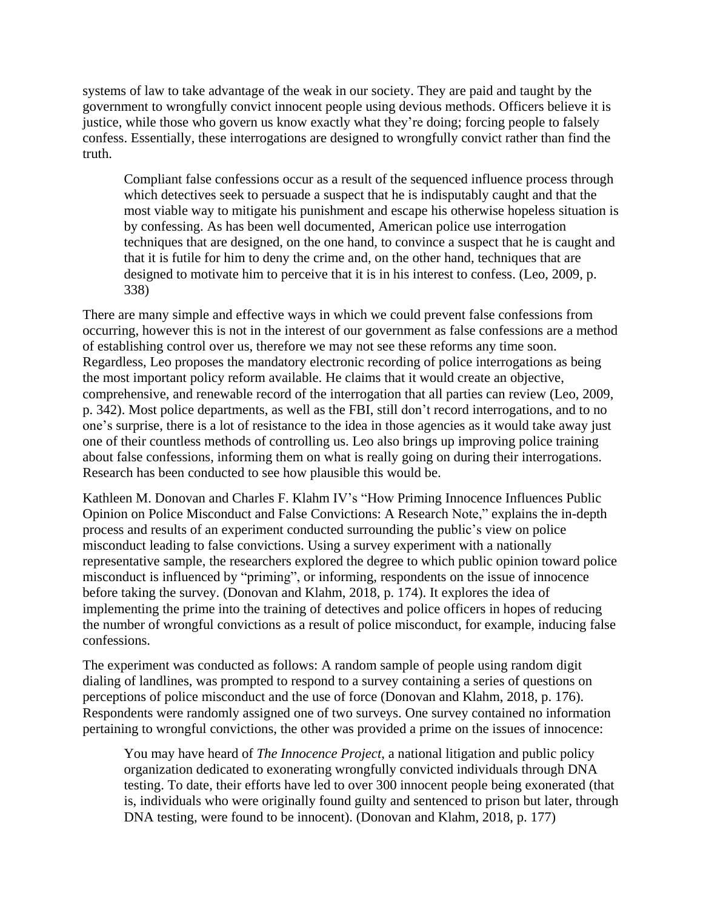systems of law to take advantage of the weak in our society. They are paid and taught by the government to wrongfully convict innocent people using devious methods. Officers believe it is justice, while those who govern us know exactly what they're doing; forcing people to falsely confess. Essentially, these interrogations are designed to wrongfully convict rather than find the truth.

Compliant false confessions occur as a result of the sequenced influence process through which detectives seek to persuade a suspect that he is indisputably caught and that the most viable way to mitigate his punishment and escape his otherwise hopeless situation is by confessing. As has been well documented, American police use interrogation techniques that are designed, on the one hand, to convince a suspect that he is caught and that it is futile for him to deny the crime and, on the other hand, techniques that are designed to motivate him to perceive that it is in his interest to confess. (Leo, 2009, p. 338)

There are many simple and effective ways in which we could prevent false confessions from occurring, however this is not in the interest of our government as false confessions are a method of establishing control over us, therefore we may not see these reforms any time soon. Regardless, Leo proposes the mandatory electronic recording of police interrogations as being the most important policy reform available. He claims that it would create an objective, comprehensive, and renewable record of the interrogation that all parties can review (Leo, 2009, p. 342). Most police departments, as well as the FBI, still don't record interrogations, and to no one's surprise, there is a lot of resistance to the idea in those agencies as it would take away just one of their countless methods of controlling us. Leo also brings up improving police training about false confessions, informing them on what is really going on during their interrogations. Research has been conducted to see how plausible this would be.

Kathleen M. Donovan and Charles F. Klahm IV's "How Priming Innocence Influences Public Opinion on Police Misconduct and False Convictions: A Research Note," explains the in-depth process and results of an experiment conducted surrounding the public's view on police misconduct leading to false convictions. Using a survey experiment with a nationally representative sample, the researchers explored the degree to which public opinion toward police misconduct is influenced by "priming", or informing, respondents on the issue of innocence before taking the survey. (Donovan and Klahm, 2018, p. 174). It explores the idea of implementing the prime into the training of detectives and police officers in hopes of reducing the number of wrongful convictions as a result of police misconduct, for example, inducing false confessions.

The experiment was conducted as follows: A random sample of people using random digit dialing of landlines, was prompted to respond to a survey containing a series of questions on perceptions of police misconduct and the use of force (Donovan and Klahm, 2018, p. 176). Respondents were randomly assigned one of two surveys. One survey contained no information pertaining to wrongful convictions, the other was provided a prime on the issues of innocence:

You may have heard of *The Innocence Project*, a national litigation and public policy organization dedicated to exonerating wrongfully convicted individuals through DNA testing. To date, their efforts have led to over 300 innocent people being exonerated (that is, individuals who were originally found guilty and sentenced to prison but later, through DNA testing, were found to be innocent). (Donovan and Klahm, 2018, p. 177)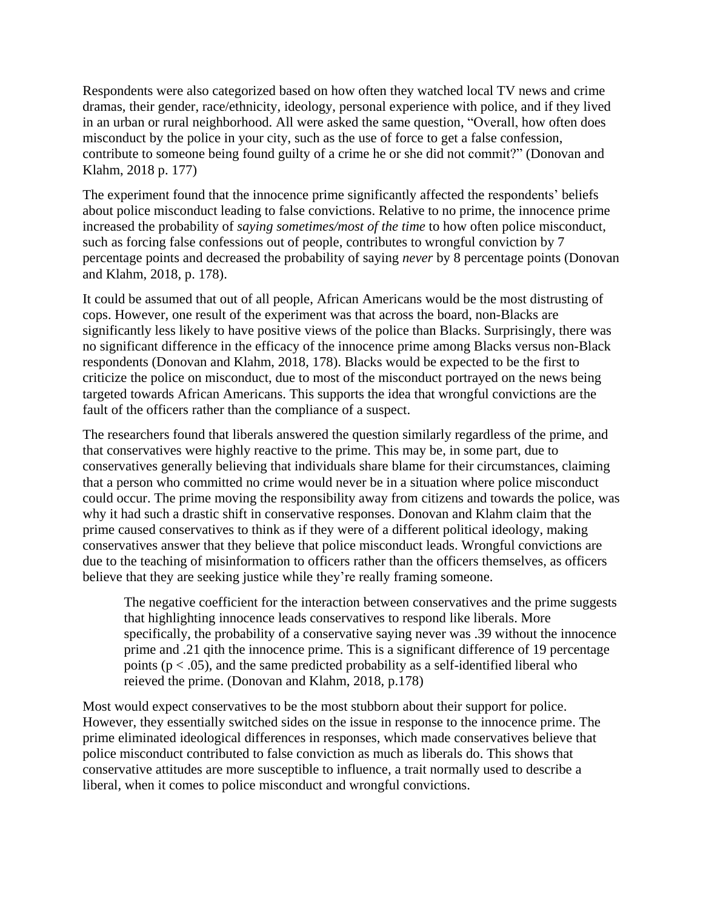Respondents were also categorized based on how often they watched local TV news and crime dramas, their gender, race/ethnicity, ideology, personal experience with police, and if they lived in an urban or rural neighborhood. All were asked the same question, "Overall, how often does misconduct by the police in your city, such as the use of force to get a false confession, contribute to someone being found guilty of a crime he or she did not commit?" (Donovan and Klahm, 2018 p. 177)

The experiment found that the innocence prime significantly affected the respondents' beliefs about police misconduct leading to false convictions. Relative to no prime, the innocence prime increased the probability of *saying sometimes/most of the time* to how often police misconduct, such as forcing false confessions out of people, contributes to wrongful conviction by 7 percentage points and decreased the probability of saying *never* by 8 percentage points (Donovan and Klahm, 2018, p. 178).

It could be assumed that out of all people, African Americans would be the most distrusting of cops. However, one result of the experiment was that across the board, non-Blacks are significantly less likely to have positive views of the police than Blacks. Surprisingly, there was no significant difference in the efficacy of the innocence prime among Blacks versus non-Black respondents (Donovan and Klahm, 2018, 178). Blacks would be expected to be the first to criticize the police on misconduct, due to most of the misconduct portrayed on the news being targeted towards African Americans. This supports the idea that wrongful convictions are the fault of the officers rather than the compliance of a suspect.

The researchers found that liberals answered the question similarly regardless of the prime, and that conservatives were highly reactive to the prime. This may be, in some part, due to conservatives generally believing that individuals share blame for their circumstances, claiming that a person who committed no crime would never be in a situation where police misconduct could occur. The prime moving the responsibility away from citizens and towards the police, was why it had such a drastic shift in conservative responses. Donovan and Klahm claim that the prime caused conservatives to think as if they were of a different political ideology, making conservatives answer that they believe that police misconduct leads. Wrongful convictions are due to the teaching of misinformation to officers rather than the officers themselves, as officers believe that they are seeking justice while they're really framing someone.

The negative coefficient for the interaction between conservatives and the prime suggests that highlighting innocence leads conservatives to respond like liberals. More specifically, the probability of a conservative saying never was .39 without the innocence prime and .21 qith the innocence prime. This is a significant difference of 19 percentage points ( $p < .05$ ), and the same predicted probability as a self-identified liberal who reieved the prime. (Donovan and Klahm, 2018, p.178)

Most would expect conservatives to be the most stubborn about their support for police. However, they essentially switched sides on the issue in response to the innocence prime. The prime eliminated ideological differences in responses, which made conservatives believe that police misconduct contributed to false conviction as much as liberals do. This shows that conservative attitudes are more susceptible to influence, a trait normally used to describe a liberal, when it comes to police misconduct and wrongful convictions.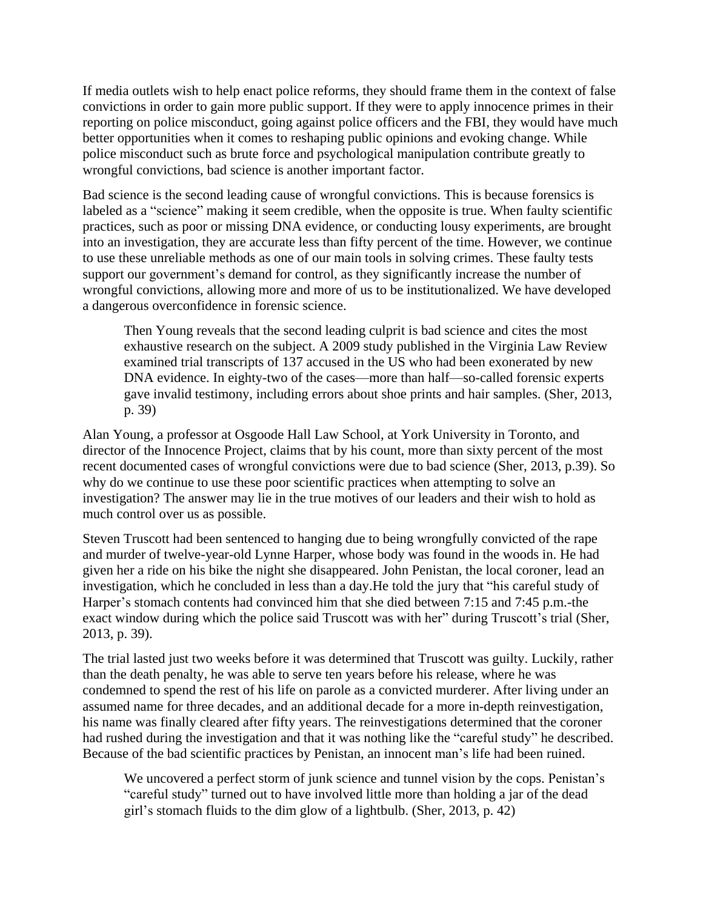If media outlets wish to help enact police reforms, they should frame them in the context of false convictions in order to gain more public support. If they were to apply innocence primes in their reporting on police misconduct, going against police officers and the FBI, they would have much better opportunities when it comes to reshaping public opinions and evoking change. While police misconduct such as brute force and psychological manipulation contribute greatly to wrongful convictions, bad science is another important factor.

Bad science is the second leading cause of wrongful convictions. This is because forensics is labeled as a "science" making it seem credible, when the opposite is true. When faulty scientific practices, such as poor or missing DNA evidence, or conducting lousy experiments, are brought into an investigation, they are accurate less than fifty percent of the time. However, we continue to use these unreliable methods as one of our main tools in solving crimes. These faulty tests support our government's demand for control, as they significantly increase the number of wrongful convictions, allowing more and more of us to be institutionalized. We have developed a dangerous overconfidence in forensic science.

Then Young reveals that the second leading culprit is bad science and cites the most exhaustive research on the subject. A 2009 study published in the Virginia Law Review examined trial transcripts of 137 accused in the US who had been exonerated by new DNA evidence. In eighty-two of the cases—more than half—so-called forensic experts gave invalid testimony, including errors about shoe prints and hair samples. (Sher, 2013, p. 39)

Alan Young, a professor at Osgoode Hall Law School, at York University in Toronto, and director of the Innocence Project, claims that by his count, more than sixty percent of the most recent documented cases of wrongful convictions were due to bad science (Sher, 2013, p.39). So why do we continue to use these poor scientific practices when attempting to solve an investigation? The answer may lie in the true motives of our leaders and their wish to hold as much control over us as possible.

Steven Truscott had been sentenced to hanging due to being wrongfully convicted of the rape and murder of twelve-year-old Lynne Harper, whose body was found in the woods in. He had given her a ride on his bike the night she disappeared. John Penistan, the local coroner, lead an investigation, which he concluded in less than a day.He told the jury that "his careful study of Harper's stomach contents had convinced him that she died between 7:15 and 7:45 p.m.-the exact window during which the police said Truscott was with her" during Truscott's trial (Sher, 2013, p. 39).

The trial lasted just two weeks before it was determined that Truscott was guilty. Luckily, rather than the death penalty, he was able to serve ten years before his release, where he was condemned to spend the rest of his life on parole as a convicted murderer. After living under an assumed name for three decades, and an additional decade for a more in-depth reinvestigation, his name was finally cleared after fifty years. The reinvestigations determined that the coroner had rushed during the investigation and that it was nothing like the "careful study" he described. Because of the bad scientific practices by Penistan, an innocent man's life had been ruined.

We uncovered a perfect storm of junk science and tunnel vision by the cops. Penistan's "careful study" turned out to have involved little more than holding a jar of the dead girl's stomach fluids to the dim glow of a lightbulb. (Sher, 2013, p. 42)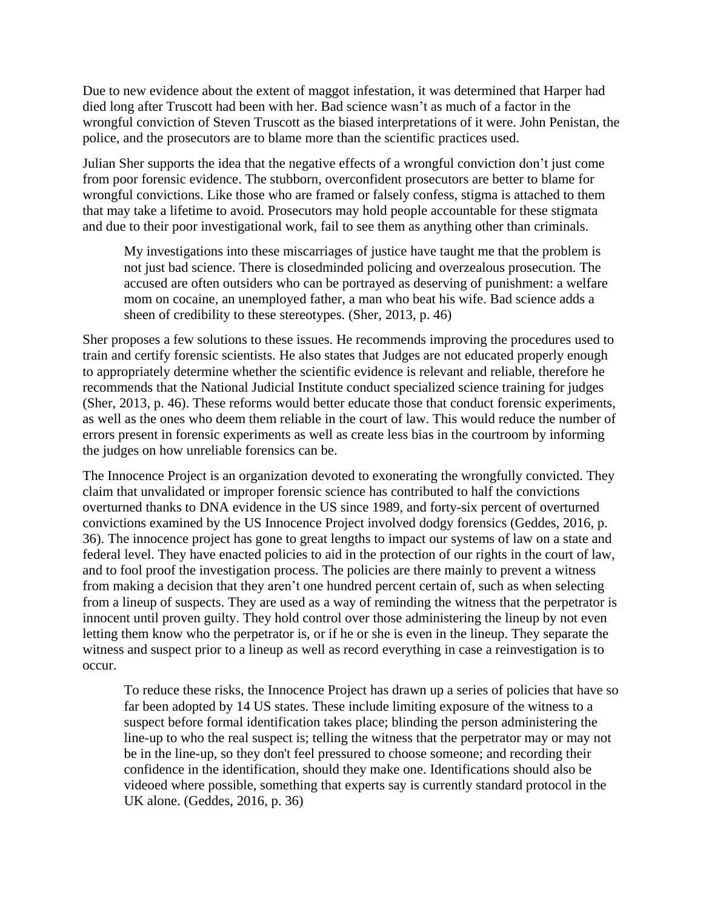Due to new evidence about the extent of maggot infestation, it was determined that Harper had died long after Truscott had been with her. Bad science wasn't as much of a factor in the wrongful conviction of Steven Truscott as the biased interpretations of it were. John Penistan, the police, and the prosecutors are to blame more than the scientific practices used.

Julian Sher supports the idea that the negative effects of a wrongful conviction don't just come from poor forensic evidence. The stubborn, overconfident prosecutors are better to blame for wrongful convictions. Like those who are framed or falsely confess, stigma is attached to them that may take a lifetime to avoid. Prosecutors may hold people accountable for these stigmata and due to their poor investigational work, fail to see them as anything other than criminals.

My investigations into these miscarriages of justice have taught me that the problem is not just bad science. There is closedminded policing and overzealous prosecution. The accused are often outsiders who can be portrayed as deserving of punishment: a welfare mom on cocaine, an unemployed father, a man who beat his wife. Bad science adds a sheen of credibility to these stereotypes. (Sher, 2013, p. 46)

Sher proposes a few solutions to these issues. He recommends improving the procedures used to train and certify forensic scientists. He also states that Judges are not educated properly enough to appropriately determine whether the scientific evidence is relevant and reliable, therefore he recommends that the National Judicial Institute conduct specialized science training for judges (Sher, 2013, p. 46). These reforms would better educate those that conduct forensic experiments, as well as the ones who deem them reliable in the court of law. This would reduce the number of errors present in forensic experiments as well as create less bias in the courtroom by informing the judges on how unreliable forensics can be.

The Innocence Project is an organization devoted to exonerating the wrongfully convicted. They claim that unvalidated or improper forensic science has contributed to half the convictions overturned thanks to DNA evidence in the US since 1989, and forty-six percent of overturned convictions examined by the US Innocence Project involved dodgy forensics (Geddes, 2016, p. 36). The innocence project has gone to great lengths to impact our systems of law on a state and federal level. They have enacted policies to aid in the protection of our rights in the court of law, and to fool proof the investigation process. The policies are there mainly to prevent a witness from making a decision that they aren't one hundred percent certain of, such as when selecting from a lineup of suspects. They are used as a way of reminding the witness that the perpetrator is innocent until proven guilty. They hold control over those administering the lineup by not even letting them know who the perpetrator is, or if he or she is even in the lineup. They separate the witness and suspect prior to a lineup as well as record everything in case a reinvestigation is to occur.

To reduce these risks, the Innocence Project has drawn up a series of policies that have so far been adopted by 14 US states. These include limiting exposure of the witness to a suspect before formal identification takes place; blinding the person administering the line-up to who the real suspect is; telling the witness that the perpetrator may or may not be in the line-up, so they don't feel pressured to choose someone; and recording their confidence in the identification, should they make one. Identifications should also be videoed where possible, something that experts say is currently standard protocol in the UK alone. (Geddes, 2016, p. 36)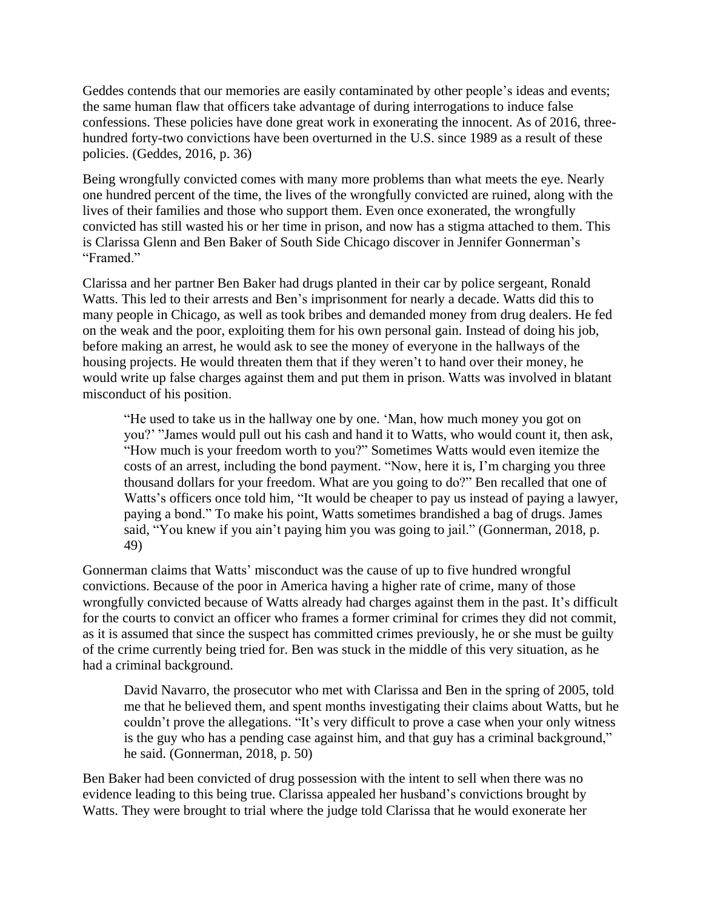Geddes contends that our memories are easily contaminated by other people's ideas and events; the same human flaw that officers take advantage of during interrogations to induce false confessions. These policies have done great work in exonerating the innocent. As of 2016, threehundred forty-two convictions have been overturned in the U.S. since 1989 as a result of these policies. (Geddes, 2016, p. 36)

Being wrongfully convicted comes with many more problems than what meets the eye. Nearly one hundred percent of the time, the lives of the wrongfully convicted are ruined, along with the lives of their families and those who support them. Even once exonerated, the wrongfully convicted has still wasted his or her time in prison, and now has a stigma attached to them. This is Clarissa Glenn and Ben Baker of South Side Chicago discover in Jennifer Gonnerman's "Framed."

Clarissa and her partner Ben Baker had drugs planted in their car by police sergeant, Ronald Watts. This led to their arrests and Ben's imprisonment for nearly a decade. Watts did this to many people in Chicago, as well as took bribes and demanded money from drug dealers. He fed on the weak and the poor, exploiting them for his own personal gain. Instead of doing his job, before making an arrest, he would ask to see the money of everyone in the hallways of the housing projects. He would threaten them that if they weren't to hand over their money, he would write up false charges against them and put them in prison. Watts was involved in blatant misconduct of his position. 

"He used to take us in the hallway one by one. 'Man, how much money you got on you?' "James would pull out his cash and hand it to Watts, who would count it, then ask, "How much is your freedom worth to you?" Sometimes Watts would even itemize the costs of an arrest, including the bond payment. "Now, here it is, I'm charging you three thousand dollars for your freedom. What are you going to do?" Ben recalled that one of Watts's officers once told him, "It would be cheaper to pay us instead of paying a lawyer, paying a bond." To make his point, Watts sometimes brandished a bag of drugs. James said, "You knew if you ain't paying him you was going to jail." (Gonnerman, 2018, p. 49)

Gonnerman claims that Watts' misconduct was the cause of up to five hundred wrongful convictions. Because of the poor in America having a higher rate of crime, many of those wrongfully convicted because of Watts already had charges against them in the past. It's difficult for the courts to convict an officer who frames a former criminal for crimes they did not commit, as it is assumed that since the suspect has committed crimes previously, he or she must be guilty of the crime currently being tried for. Ben was stuck in the middle of this very situation, as he had a criminal background.

David Navarro, the prosecutor who met with Clarissa and Ben in the spring of 2005, told me that he believed them, and spent months investigating their claims about Watts, but he couldn't prove the allegations. "It's very difficult to prove a case when your only witness is the guy who has a pending case against him, and that guy has a criminal background," he said. (Gonnerman, 2018, p. 50)

Ben Baker had been convicted of drug possession with the intent to sell when there was no evidence leading to this being true. Clarissa appealed her husband's convictions brought by Watts. They were brought to trial where the judge told Clarissa that he would exonerate her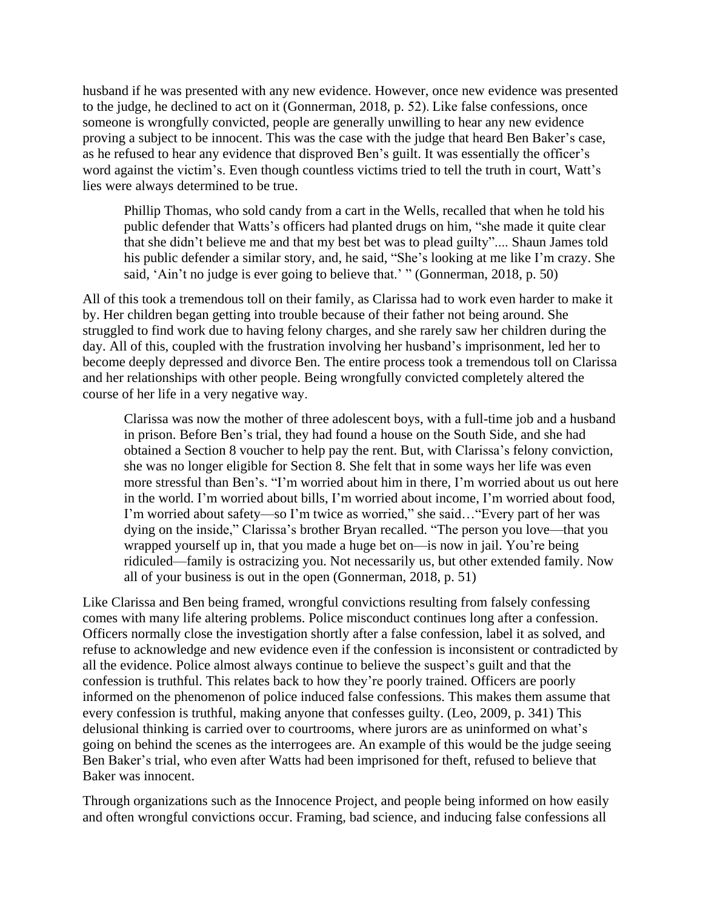husband if he was presented with any new evidence. However, once new evidence was presented to the judge, he declined to act on it (Gonnerman, 2018, p. 52). Like false confessions, once someone is wrongfully convicted, people are generally unwilling to hear any new evidence proving a subject to be innocent. This was the case with the judge that heard Ben Baker's case, as he refused to hear any evidence that disproved Ben's guilt. It was essentially the officer's word against the victim's. Even though countless victims tried to tell the truth in court, Watt's lies were always determined to be true.

Phillip Thomas, who sold candy from a cart in the Wells, recalled that when he told his public defender that Watts's officers had planted drugs on him, "she made it quite clear that she didn't believe me and that my best bet was to plead guilty".... Shaun James told his public defender a similar story, and, he said, "She's looking at me like I'm crazy. She said, 'Ain't no judge is ever going to believe that.' " (Gonnerman, 2018, p. 50)

All of this took a tremendous toll on their family, as Clarissa had to work even harder to make it by. Her children began getting into trouble because of their father not being around. She struggled to find work due to having felony charges, and she rarely saw her children during the day. All of this, coupled with the frustration involving her husband's imprisonment, led her to become deeply depressed and divorce Ben. The entire process took a tremendous toll on Clarissa and her relationships with other people. Being wrongfully convicted completely altered the course of her life in a very negative way. 

Clarissa was now the mother of three adolescent boys, with a full-time job and a husband in prison. Before Ben's trial, they had found a house on the South Side, and she had obtained a Section 8 voucher to help pay the rent. But, with Clarissa's felony conviction, she was no longer eligible for Section 8. She felt that in some ways her life was even more stressful than Ben's. "I'm worried about him in there, I'm worried about us out here in the world. I'm worried about bills, I'm worried about income, I'm worried about food, I'm worried about safety—so I'm twice as worried," she said…"Every part of her was dying on the inside," Clarissa's brother Bryan recalled. "The person you love—that you wrapped yourself up in, that you made a huge bet on—is now in jail. You're being ridiculed—family is ostracizing you. Not necessarily us, but other extended family. Now all of your business is out in the open (Gonnerman, 2018, p. 51)

Like Clarissa and Ben being framed, wrongful convictions resulting from falsely confessing comes with many life altering problems. Police misconduct continues long after a confession. Officers normally close the investigation shortly after a false confession, label it as solved, and refuse to acknowledge and new evidence even if the confession is inconsistent or contradicted by all the evidence. Police almost always continue to believe the suspect's guilt and that the confession is truthful. This relates back to how they're poorly trained. Officers are poorly informed on the phenomenon of police induced false confessions. This makes them assume that every confession is truthful, making anyone that confesses guilty. (Leo, 2009, p. 341) This delusional thinking is carried over to courtrooms, where jurors are as uninformed on what's going on behind the scenes as the interrogees are. An example of this would be the judge seeing Ben Baker's trial, who even after Watts had been imprisoned for theft, refused to believe that Baker was innocent.

Through organizations such as the Innocence Project, and people being informed on how easily and often wrongful convictions occur. Framing, bad science, and inducing false confessions all